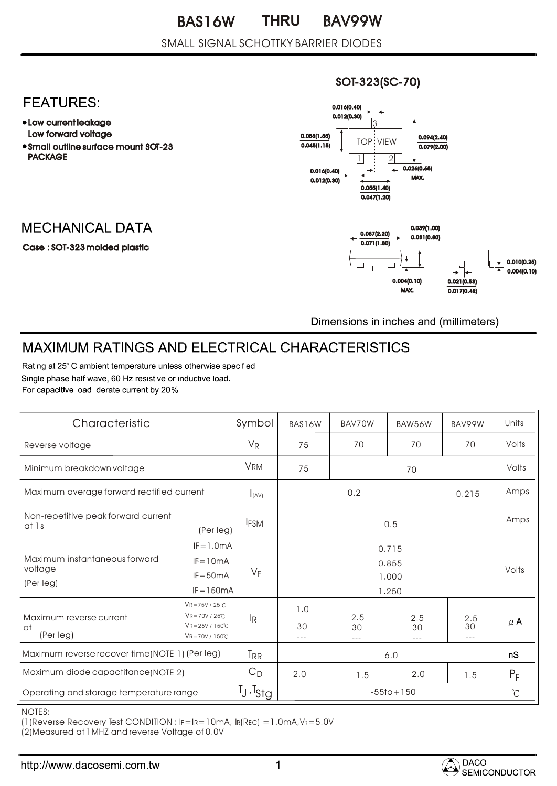#### SMALL SIGNAL SCHOTTKY BARRIER DIODES

#### SOT-323(SC-70)



- Low current leakage Low forward voltage
- Small outline surface mount SOT-23 PACKAGE

## **MECHANICAL DATA**

Case : SOT-323 molded plastic



Dimensions in inches and (millimeters)

# MAXIMUM RATINGS AND ELECTRICAL CHARACTERISTICS

Rating at 25° C ambient temperature unless otherwise specified. Single phase half wave, 60 Hz resistive or inductive load. For capacitive load, derate current by 20%.

| Characteristic                                            |                                                                                           | Symbol                    | BAS16W                           | BAV70W    | BAW56W            | BAV99W                    | Units   |
|-----------------------------------------------------------|-------------------------------------------------------------------------------------------|---------------------------|----------------------------------|-----------|-------------------|---------------------------|---------|
| Reverse voltage                                           |                                                                                           | $V_{R}$                   | 75                               | 70        | 70                | 70                        | Volts   |
| Minimum breakdown voltage                                 |                                                                                           | <b>VRM</b>                | 75<br>70                         |           | Volts             |                           |         |
| Maximum average forward rectified current                 |                                                                                           | I(AV)                     | 0.2<br>0.215                     |           |                   | Amps                      |         |
| Non-repetitive peak forward current<br>at 1s<br>(Per leg) |                                                                                           | <b>IFSM</b>               | 0.5                              |           |                   | Amps                      |         |
| Maximum instantaneous forward<br>voltage<br>(Per leg)     | $IF = 1.0mA$<br>$IF = 10mA$<br>$IF = 50mA$<br>$IF = 150mA$                                | $V_F$                     | 0.715<br>0.855<br>1.000<br>1.250 |           |                   | Volts                     |         |
| Maximum reverse current<br>at<br>(Per leg)                | $VR = 75V / 25°C$<br>$VR = 70V / 25°C$<br>$VR = 25V / 150°C$<br>$VR = 70V / 150^{\circ}C$ | $\mathsf{I}_{\mathsf{R}}$ | 1.0<br>30<br>$---$               | 2.5<br>30 | 2.5<br>30<br>$--$ | $\frac{2.5}{30}$<br>$---$ | $\mu$ A |
| Maximum reverse recover time(NOTE 1) (Per leg)            |                                                                                           | T <sub>RR</sub>           | 6.0                              |           |                   | nS                        |         |
| Maximum diode capactitance(NOTE 2)                        |                                                                                           | $C_D$                     | 2.0                              | 1.5       | 2.0               | 1.5                       | $P_F$   |
| Operating and storage temperature range                   |                                                                                           | $T_J$ , $T_{StQ}$         | $-55$ to + 150                   |           |                   | $\mathrm{C}$              |         |

NOTES:

(1)Reverse Recovery Test CONDITION : IF=IR=10mA, IR(REC) =1.0mA,VR=5.0V

(2)Measured at 1MHZ and reverse Voltage of 0.0V

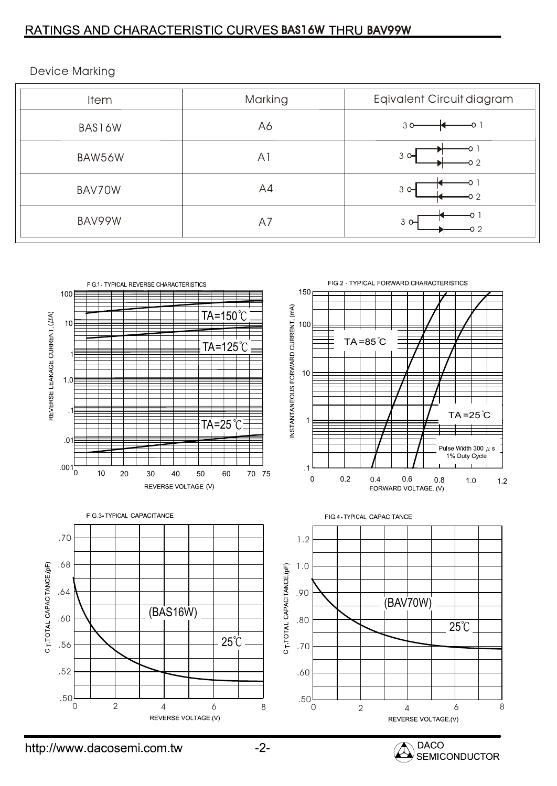## RATINGS AND CHARACTERISTIC CURVES BAS16W THRU BAV99W

Device Marking

| <b>Item</b> | Marking        | Eqivalent Circuit diagram |
|-------------|----------------|---------------------------|
| BAS16W      | A6             | 30                        |
| BAW56W      | A <sub>1</sub> | $3$ $\Theta$              |
| BAV70W      | A4             | $3^{\circ}$               |
| BAV99W      | A7             | $3^\circ$<br>റാ           |